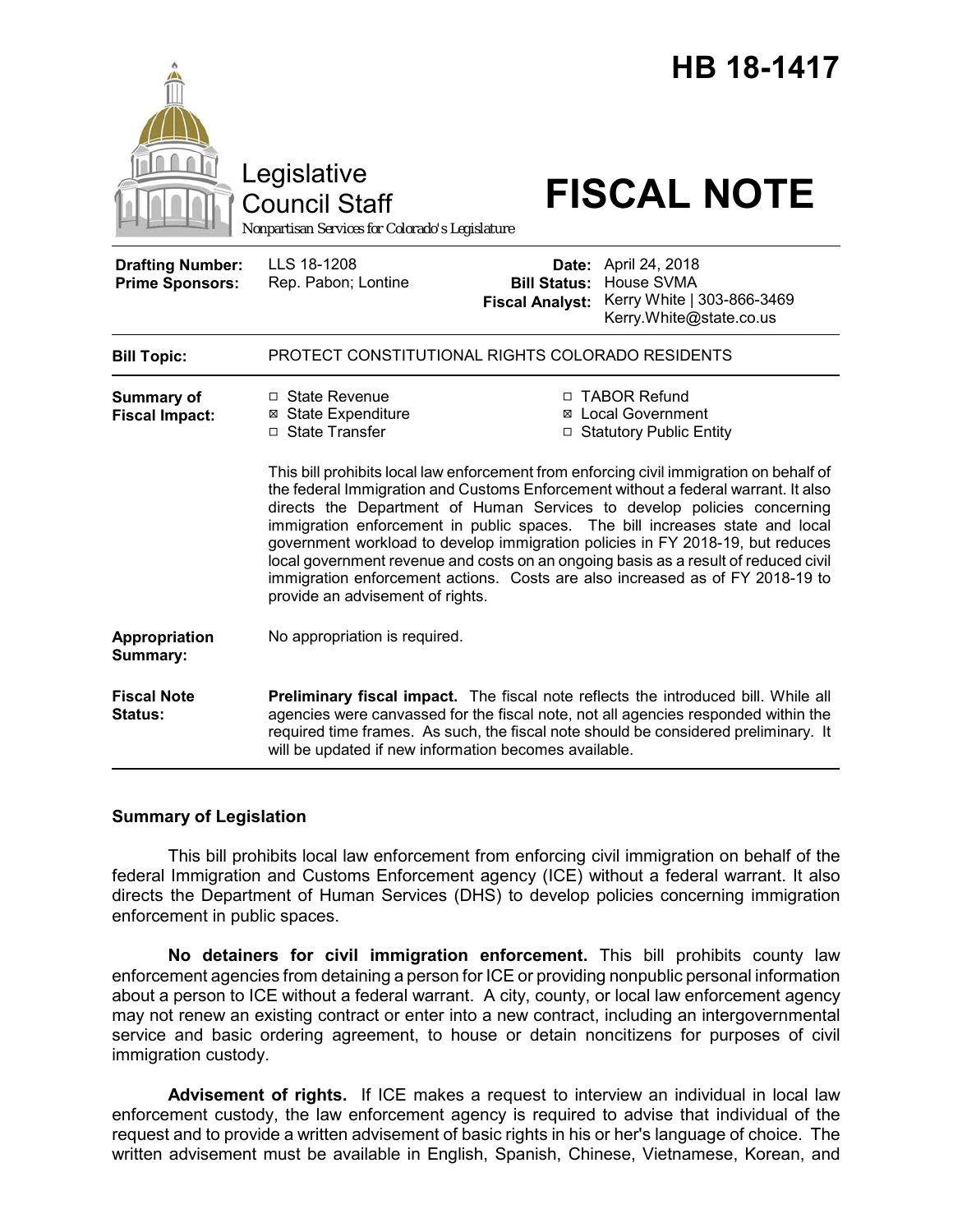

#### **Summary of Legislation**

This bill prohibits local law enforcement from enforcing civil immigration on behalf of the federal Immigration and Customs Enforcement agency (ICE) without a federal warrant. It also directs the Department of Human Services (DHS) to develop policies concerning immigration enforcement in public spaces.

**No detainers for civil immigration enforcement.** This bill prohibits county law enforcement agencies from detaining a person for ICE or providing nonpublic personal information about a person to ICE without a federal warrant. A city, county, or local law enforcement agency may not renew an existing contract or enter into a new contract, including an intergovernmental service and basic ordering agreement, to house or detain noncitizens for purposes of civil immigration custody.

**Advisement of rights.** If ICE makes a request to interview an individual in local law enforcement custody, the law enforcement agency is required to advise that individual of the request and to provide a written advisement of basic rights in his or her's language of choice. The written advisement must be available in English, Spanish, Chinese, Vietnamese, Korean, and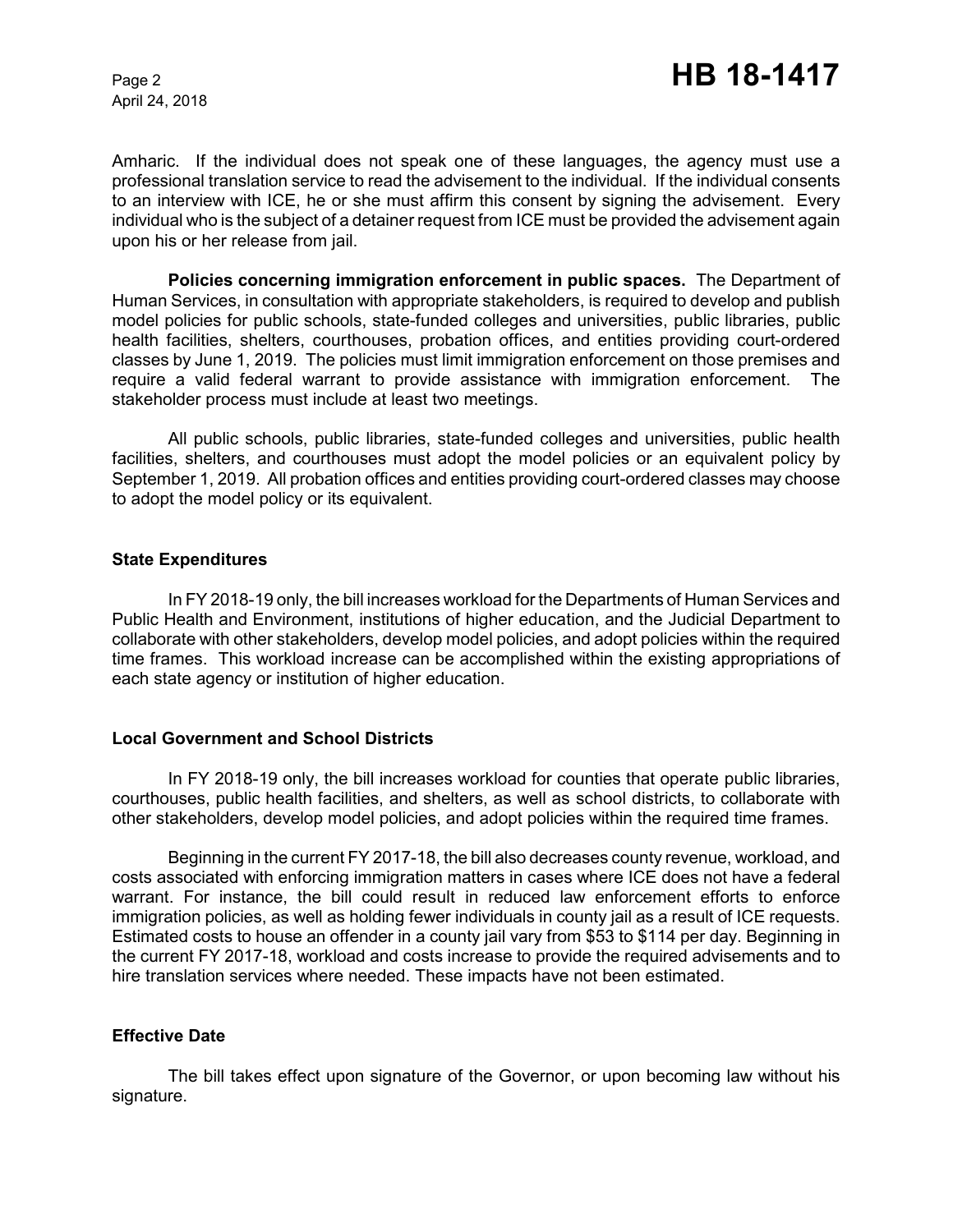April 24, 2018

Amharic. If the individual does not speak one of these languages, the agency must use a professional translation service to read the advisement to the individual. If the individual consents to an interview with ICE, he or she must affirm this consent by signing the advisement. Every individual who is the subject of a detainer request from ICE must be provided the advisement again upon his or her release from jail.

**Policies concerning immigration enforcement in public spaces.** The Department of Human Services, in consultation with appropriate stakeholders, is required to develop and publish model policies for public schools, state-funded colleges and universities, public libraries, public health facilities, shelters, courthouses, probation offices, and entities providing court-ordered classes by June 1, 2019. The policies must limit immigration enforcement on those premises and require a valid federal warrant to provide assistance with immigration enforcement. The stakeholder process must include at least two meetings.

All public schools, public libraries, state-funded colleges and universities, public health facilities, shelters, and courthouses must adopt the model policies or an equivalent policy by September 1, 2019. All probation offices and entities providing court-ordered classes may choose to adopt the model policy or its equivalent.

## **State Expenditures**

In FY 2018-19 only, the bill increases workload for the Departments of Human Services and Public Health and Environment, institutions of higher education, and the Judicial Department to collaborate with other stakeholders, develop model policies, and adopt policies within the required time frames. This workload increase can be accomplished within the existing appropriations of each state agency or institution of higher education.

## **Local Government and School Districts**

In FY 2018-19 only, the bill increases workload for counties that operate public libraries, courthouses, public health facilities, and shelters, as well as school districts, to collaborate with other stakeholders, develop model policies, and adopt policies within the required time frames.

Beginning in the current FY 2017-18, the bill also decreases county revenue, workload, and costs associated with enforcing immigration matters in cases where ICE does not have a federal warrant. For instance, the bill could result in reduced law enforcement efforts to enforce immigration policies, as well as holding fewer individuals in county jail as a result of ICE requests. Estimated costs to house an offender in a county jail vary from \$53 to \$114 per day. Beginning in the current FY 2017-18, workload and costs increase to provide the required advisements and to hire translation services where needed. These impacts have not been estimated.

## **Effective Date**

The bill takes effect upon signature of the Governor, or upon becoming law without his signature.